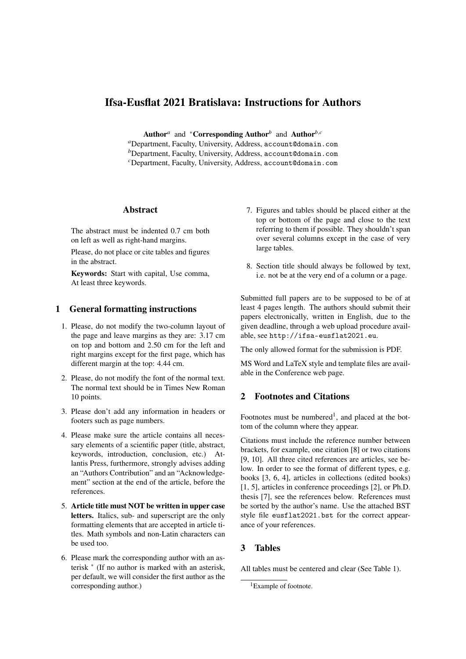# Ifsa-Eusflat 2021 Bratislava: Instructions for Authors

Author<sup>*a*</sup> and <sup>∗</sup>Corresponding Author<sup>*b*</sup> and Author<sup>*b*,*c*</sup>

*<sup>a</sup>*Department, Faculty, University, Address, account@domain.com *b*Department, Faculty, University, Address, account@domain.com *<sup>c</sup>*Department, Faculty, University, Address, account@domain.com

### Abstract

The abstract must be indented 0.7 cm both on left as well as right-hand margins.

Please, do not place or cite tables and figures in the abstract.

Keywords: Start with capital, Use comma, At least three keywords.

### 1 General formatting instructions

- 1. Please, do not modify the two-column layout of the page and leave margins as they are: 3.17 cm on top and bottom and 2.50 cm for the left and right margins except for the first page, which has different margin at the top: 4.44 cm.
- 2. Please, do not modify the font of the normal text. The normal text should be in Times New Roman 10 points.
- 3. Please don't add any information in headers or footers such as page numbers.
- 4. Please make sure the article contains all necessary elements of a scientific paper (title, abstract, keywords, introduction, conclusion, etc.) Atlantis Press, furthermore, strongly advises adding an "Authors Contribution" and an "Acknowledgement" section at the end of the article, before the references.
- 5. Article title must NOT be written in upper case letters. Italics, sub- and superscript are the only formatting elements that are accepted in article titles. Math symbols and non-Latin characters can be used too.
- 6. Please mark the corresponding author with an asterisk <sup>∗</sup> (If no author is marked with an asterisk, per default, we will consider the first author as the corresponding author.)
- 7. Figures and tables should be placed either at the top or bottom of the page and close to the text referring to them if possible. They shouldn't span over several columns except in the case of very large tables.
- 8. Section title should always be followed by text, i.e. not be at the very end of a column or a page.

Submitted full papers are to be supposed to be of at least 4 pages length. The authors should submit their papers electronically, written in English, due to the given deadline, through a web upload procedure available, see http://ifsa-eusflat2021.eu.

The only allowed format for the submission is PDF.

MS Word and LaTeX style and template files are available in the Conference web page.

# 2 Footnotes and Citations

Footnotes must be numbered<sup>1</sup>, and placed at the bottom of the column where they appear.

Citations must include the reference number between brackets, for example, one citation [8] or two citations [9, 10]. All three cited references are articles, see below. In order to see the format of different types, e.g. books [3, 6, 4], articles in collections (edited books) [1, 5], articles in conference proceedings [2], or Ph.D. thesis [7], see the references below. References must be sorted by the author's name. Use the attached BST style file eusflat2021.bst for the correct appearance of your references.

# 3 Tables

All tables must be centered and clear (See Table 1).

<sup>&</sup>lt;sup>1</sup>Example of footnote.